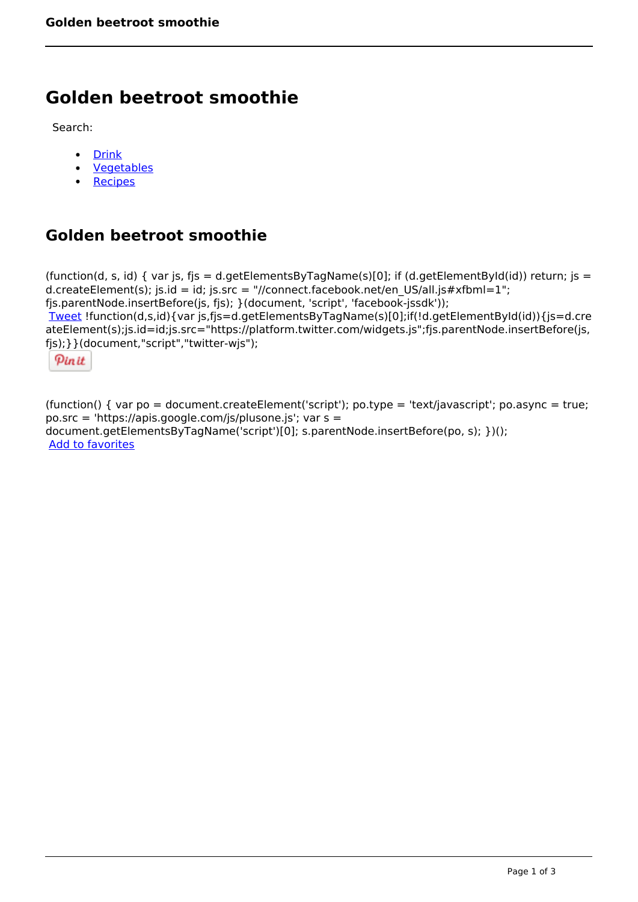## **Golden beetroot smoothie**

Search:

- [Drink](https://www.naturalhealthmag.com.au/nourish/drinks)  $\bullet$
- [Vegetables](https://www.naturalhealthmag.com.au/nourish/veg)  $\bullet$
- **[Recipes](https://www.naturalhealthmag.com.au/nourish/recipes)**

## **Golden beetroot smoothie**

```
(function(d, s, id) { var js, fjs = d.getElementsByTagName(s)[0]; if (d.getElementById(id)) return; js =
d.createElement(s); js.id = id; js.src = "//connect.facebook.net/en_US/all.js#xfbml=1";
fjs.parentNode.insertBefore(js, fjs); }(document, 'script', 'facebook-jssdk')); 
Tweet !function(d,s,id){var js,fjs=d.getElementsByTagName(s)[0];if(!d.getElementById(id)){js=d.cre
ateElement(s);js.id=id;js.src="https://platform.twitter.com/widgets.js";fjs.parentNode.insertBefore(js,
fjs);}}(document,"script","twitter-wjs"); 
 Pin it
```
(function() { var po = document.createElement('script'); po.type = 'text/javascript'; po.async = true; po.src = 'https://apis.google.com/js/plusone.js'; var s = document.getElementsByTagName('script')[0]; s.parentNode.insertBefore(po, s); })(); Add to favorites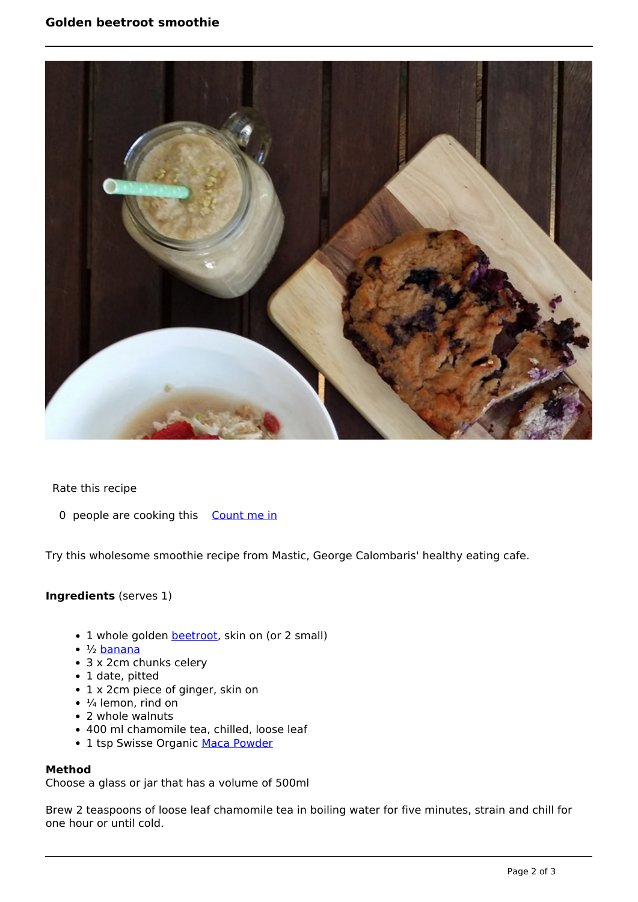

Rate this recipe

0 people are cooking this [Count me in](https://www.naturalhealthmag.com.au/flag/flag/favorites/1575?destination=printpdf%2F1575&token=ae947bd521f6238da0f3ccb794bbd1a7)

Try this wholesome smoothie recipe from Mastic, George Calombaris' healthy eating cafe.

## **Ingredients** (serves 1)

- 1 whole golden **beetroot**, skin on (or 2 small)
- ½ [banana](http://www.naturalhealthmag.com.au/nourish/papaya-and-banana-bread-recipe)
- 3 x 2cm chunks celery
- 1 date, pitted
- 1 x 2cm piece of ginger, skin on
- $\cdot$   $\frac{1}{4}$  lemon, rind on
- 2 whole walnuts
- 400 ml chamomile tea, chilled, loose leaf
- 1 tsp Swisse Organic [Maca Powder](http://www.naturalhealthmag.com.au/nourish/maca-powder)

## **Method**

Choose a glass or jar that has a volume of 500ml

Brew 2 teaspoons of loose leaf chamomile tea in boiling water for five minutes, strain and chill for one hour or until cold.